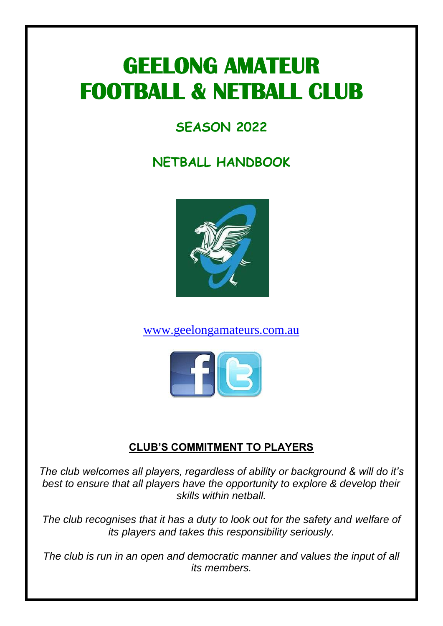# **GEELONG AMATEUR FOOTBALL & NETBALL CLUB**

# **SEASON 2022**

# **NETBALL HANDBOOK**



[www.geelongamateurs.com.au](http://www.geelongamateurs.com.au/)



# **CLUB'S COMMITMENT TO PLAYERS**

*The club welcomes all players, regardless of ability or background & will do it's best to ensure that all players have the opportunity to explore & develop their skills within netball.* 

*The club recognises that it has a duty to look out for the safety and welfare of its players and takes this responsibility seriously.* 

*The club is run in an open and democratic manner and values the input of all its members.*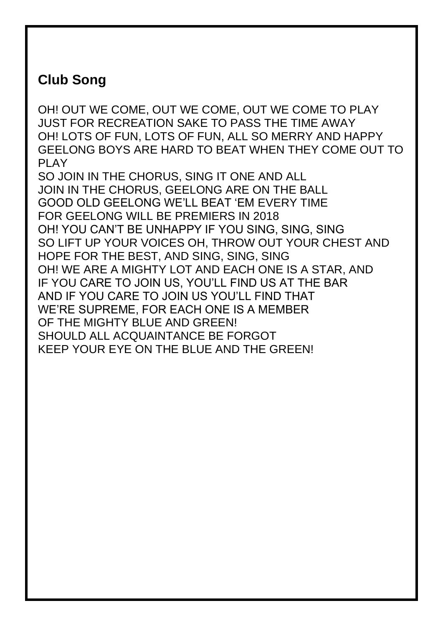# **Club Song**

OH! OUT WE COME, OUT WE COME, OUT WE COME TO PLAY JUST FOR RECREATION SAKE TO PASS THE TIME AWAY OH! LOTS OF FUN, LOTS OF FUN, ALL SO MERRY AND HAPPY GEELONG BOYS ARE HARD TO BEAT WHEN THEY COME OUT TO PI AY

SO JOIN IN THE CHORUS, SING IT ONE AND ALL JOIN IN THE CHORUS, GEELONG ARE ON THE BALL GOOD OLD GEELONG WE'LL BEAT 'EM EVERY TIME FOR GEELONG WILL BE PREMIERS IN 2018 OH! YOU CAN'T BE UNHAPPY IF YOU SING, SING, SING SO LIFT UP YOUR VOICES OH, THROW OUT YOUR CHEST AND HOPE FOR THE BEST, AND SING, SING, SING OH! WE ARE A MIGHTY LOT AND EACH ONE IS A STAR, AND IF YOU CARE TO JOIN US, YOU'LL FIND US AT THE BAR AND IF YOU CARE TO JOIN US YOU'LL FIND THAT WE'RE SUPREME, FOR EACH ONE IS A MEMBER OF THE MIGHTY BLUE AND GREEN! SHOULD ALL ACQUAINTANCE BE FORGOT KEEP YOUR EYE ON THE BLUE AND THE GREEN!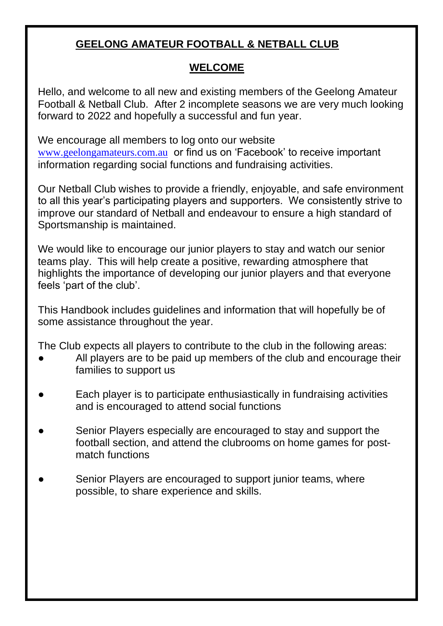## **GEELONG AMATEUR FOOTBALL & NETBALL CLUB**

#### **WELCOME**

Hello, and welcome to all new and existing members of the Geelong Amateur Football & Netball Club. After 2 incomplete seasons we are very much looking forward to 2022 and hopefully a successful and fun year.

We encourage all members to log onto our website [www.geelongamateurs.com.au](http://www.geelongamateurs.com.au/) or find us on 'Facebook' to receive important information regarding social functions and fundraising activities.

Our Netball Club wishes to provide a friendly, enjoyable, and safe environment to all this year's participating players and supporters. We consistently strive to improve our standard of Netball and endeavour to ensure a high standard of Sportsmanship is maintained.

We would like to encourage our junior players to stay and watch our senior teams play. This will help create a positive, rewarding atmosphere that highlights the importance of developing our junior players and that everyone feels 'part of the club'.

This Handbook includes guidelines and information that will hopefully be of some assistance throughout the year.

The Club expects all players to contribute to the club in the following areas:

- All players are to be paid up members of the club and encourage their families to support us
- Each player is to participate enthusiastically in fundraising activities and is encouraged to attend social functions
- Senior Players especially are encouraged to stay and support the football section, and attend the clubrooms on home games for postmatch functions
- Senior Players are encouraged to support junior teams, where possible, to share experience and skills.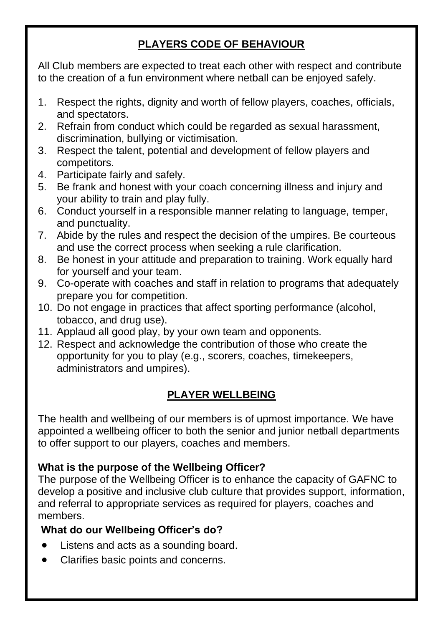# **PLAYERS CODE OF BEHAVIOUR**

All Club members are expected to treat each other with respect and contribute to the creation of a fun environment where netball can be enjoyed safely.

- 1. Respect the rights, dignity and worth of fellow players, coaches, officials, and spectators.
- 2. Refrain from conduct which could be regarded as sexual harassment, discrimination, bullying or victimisation.
- 3. Respect the talent, potential and development of fellow players and competitors.
- 4. Participate fairly and safely.
- 5. Be frank and honest with your coach concerning illness and injury and your ability to train and play fully.
- 6. Conduct yourself in a responsible manner relating to language, temper, and punctuality.
- 7. Abide by the rules and respect the decision of the umpires. Be courteous and use the correct process when seeking a rule clarification.
- 8. Be honest in your attitude and preparation to training. Work equally hard for yourself and your team.
- 9. Co-operate with coaches and staff in relation to programs that adequately prepare you for competition.
- 10. Do not engage in practices that affect sporting performance (alcohol, tobacco, and drug use).
- 11. Applaud all good play, by your own team and opponents.
- 12. Respect and acknowledge the contribution of those who create the opportunity for you to play (e.g., scorers, coaches, timekeepers, administrators and umpires).

# **PLAYER WELLBEING**

The health and wellbeing of our members is of upmost importance. We have appointed a wellbeing officer to both the senior and junior netball departments to offer support to our players, coaches and members.

#### **What is the purpose of the Wellbeing Officer?**

The purpose of the Wellbeing Officer is to enhance the capacity of GAFNC to develop a positive and inclusive club culture that provides support, information, and referral to appropriate services as required for players, coaches and members.

#### **What do our Wellbeing Officer's do?**

- Listens and acts as a sounding board.
- Clarifies basic points and concerns.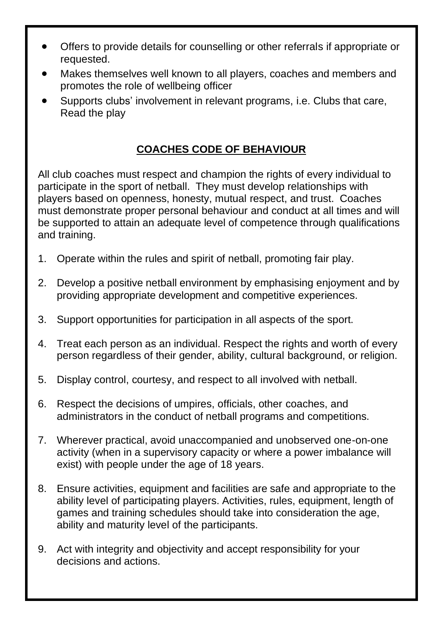- Offers to provide details for counselling or other referrals if appropriate or requested.
- Makes themselves well known to all players, coaches and members and promotes the role of wellbeing officer
- Supports clubs' involvement in relevant programs, i.e. Clubs that care, Read the play

## **COACHES CODE OF BEHAVIOUR**

All club coaches must respect and champion the rights of every individual to participate in the sport of netball. They must develop relationships with players based on openness, honesty, mutual respect, and trust. Coaches must demonstrate proper personal behaviour and conduct at all times and will be supported to attain an adequate level of competence through qualifications and training.

- 1. Operate within the rules and spirit of netball, promoting fair play.
- 2. Develop a positive netball environment by emphasising enjoyment and by providing appropriate development and competitive experiences.
- 3. Support opportunities for participation in all aspects of the sport.
- 4. Treat each person as an individual. Respect the rights and worth of every person regardless of their gender, ability, cultural background, or religion.
- 5. Display control, courtesy, and respect to all involved with netball.
- 6. Respect the decisions of umpires, officials, other coaches, and administrators in the conduct of netball programs and competitions.
- 7. Wherever practical, avoid unaccompanied and unobserved one-on-one activity (when in a supervisory capacity or where a power imbalance will exist) with people under the age of 18 years.
- 8. Ensure activities, equipment and facilities are safe and appropriate to the ability level of participating players. Activities, rules, equipment, length of games and training schedules should take into consideration the age, ability and maturity level of the participants.
- 9. Act with integrity and objectivity and accept responsibility for your decisions and actions.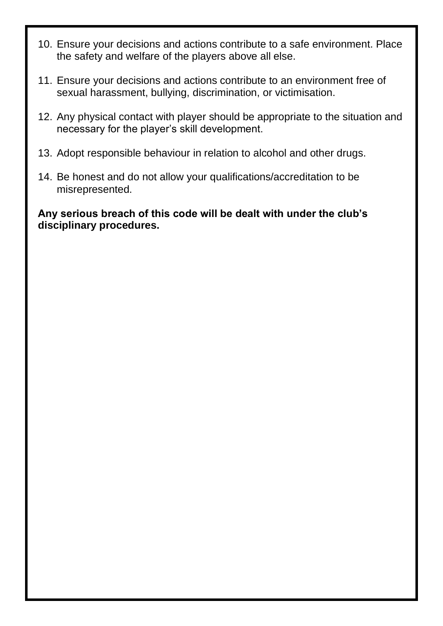- 10. Ensure your decisions and actions contribute to a safe environment. Place the safety and welfare of the players above all else.
- 11. Ensure your decisions and actions contribute to an environment free of sexual harassment, bullying, discrimination, or victimisation.
- 12. Any physical contact with player should be appropriate to the situation and necessary for the player's skill development.
- 13. Adopt responsible behaviour in relation to alcohol and other drugs.
- 14. Be honest and do not allow your qualifications/accreditation to be misrepresented.

**Any serious breach of this code will be dealt with under the club's disciplinary procedures.**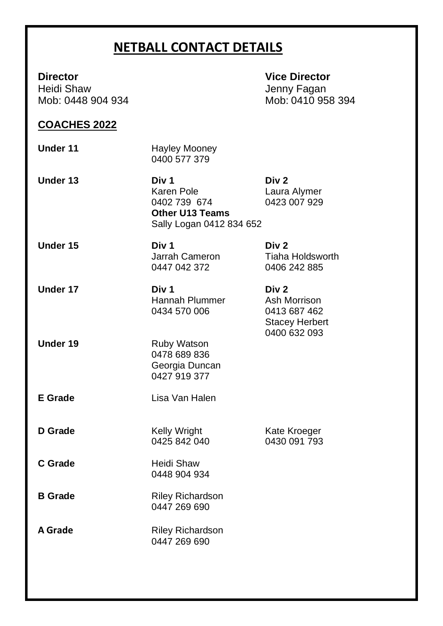# **NETBALL CONTACT DETAILS**

Mob: 0448 904 934

**Director Vice Director** Heidi Shaw **Jenny Fagan**<br>Mob: 0448 904 934 **July 2010 12:30 Mob: 0410 958 394** 

#### **COACHES 2022**

| Under 11 | <b>Hayley Mooney</b><br>0400 577 379 |
|----------|--------------------------------------|
|          |                                      |

**Under 13 Div 1 Div 2** Laura Alymer<br>0423 007 929 0402 739 674 **Other U13 Teams** Sally Logan 0412 834 652

**Under 15 Div 1 Div 2** 0447 042 372

**Under 17 Div 1 Div 2** Hannah Plummer Ash Morrison 0434 570 006 0413 687 462

**Under 19** Ruby Watson 0478 689 836 Georgia Duncan 0427 919 377

**E Grade** Lisa Van Halen

**D Grade Kelly Wright** Kate Kroeger<br>0435 842 040 0430 091 793  $0425842040$ 

**C Grade** Heidi Shaw 0448 904 934

**B Grade** Riley Richardson 0447 269 690

A Grade **Riley Richardson** 0447 269 690

Jarrah Cameron Tiaha Holdsworth<br>0447 042 372 0406 242 885

Stacey Herbert 0400 632 093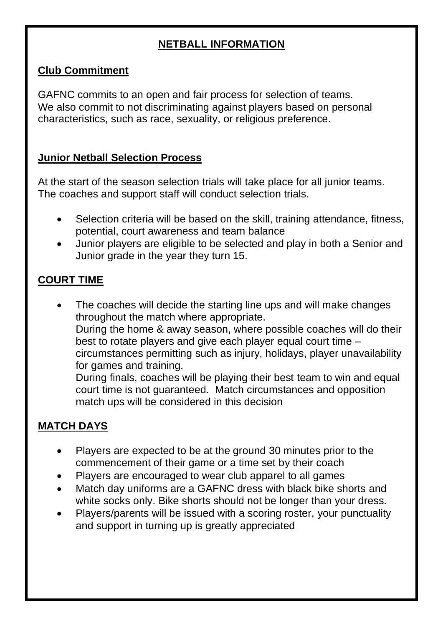## **NETBALL INFORMATION**

#### **Club Commitment**

GAFNC commits to an open and fair process for selection of teams. We also commit to not discriminating against players based on personal characteristics, such as race, sexuality, or religious preference.

#### **Junior Netball Selection Process**

At the start of the season selection trials will take place for all junior teams. The coaches and support staff will conduct selection trials.

- Selection criteria will be based on the skill, training attendance, fitness, potential, court awareness and team balance
- Junior players are eligible to be selected and play in both a Senior and Junior grade in the year they turn 15.

#### **COURT TIME**

The coaches will decide the starting line ups and will make changes throughout the match where appropriate. During the home & away season, where possible coaches will do their best to rotate players and give each player equal court time – circumstances permitting such as injury, holidays, player unavailability for games and training. During finals, coaches will be playing their best team to win and equal

court time is not guaranteed. Match circumstances and opposition match ups will be considered in this decision

#### **MATCH DAYS**

- Players are expected to be at the ground 30 minutes prior to the commencement of their game or a time set by their coach
- Players are encouraged to wear club apparel to all games
- Match day uniforms are a GAFNC dress with black bike shorts and white socks only. Bike shorts should not be longer than your dress.
- Players/parents will be issued with a scoring roster, your punctuality and support in turning up is greatly appreciated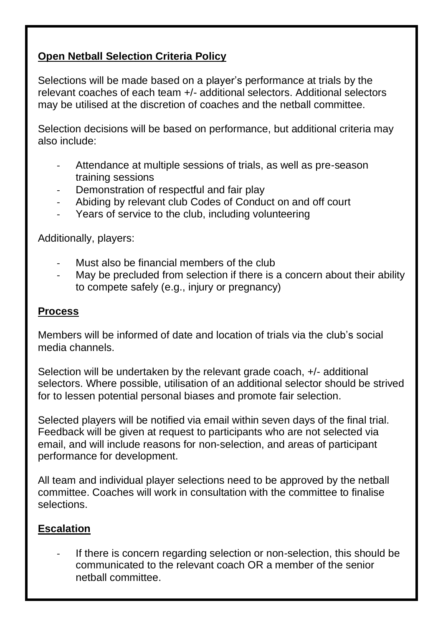#### **Open Netball Selection Criteria Policy**

Selections will be made based on a player's performance at trials by the relevant coaches of each team +/- additional selectors. Additional selectors may be utilised at the discretion of coaches and the netball committee.

Selection decisions will be based on performance, but additional criteria may also include:

- Attendance at multiple sessions of trials, as well as pre-season training sessions
- Demonstration of respectful and fair play
- Abiding by relevant club Codes of Conduct on and off court
- Years of service to the club, including volunteering

Additionally, players:

- Must also be financial members of the club
- May be precluded from selection if there is a concern about their ability to compete safely (e.g., injury or pregnancy)

#### **Process**

Members will be informed of date and location of trials via the club's social media channels.

Selection will be undertaken by the relevant grade coach, +/- additional selectors. Where possible, utilisation of an additional selector should be strived for to lessen potential personal biases and promote fair selection.

Selected players will be notified via email within seven days of the final trial. Feedback will be given at request to participants who are not selected via email, and will include reasons for non-selection, and areas of participant performance for development.

All team and individual player selections need to be approved by the netball committee. Coaches will work in consultation with the committee to finalise selections.

#### **Escalation**

If there is concern regarding selection or non-selection, this should be communicated to the relevant coach OR a member of the senior netball committee.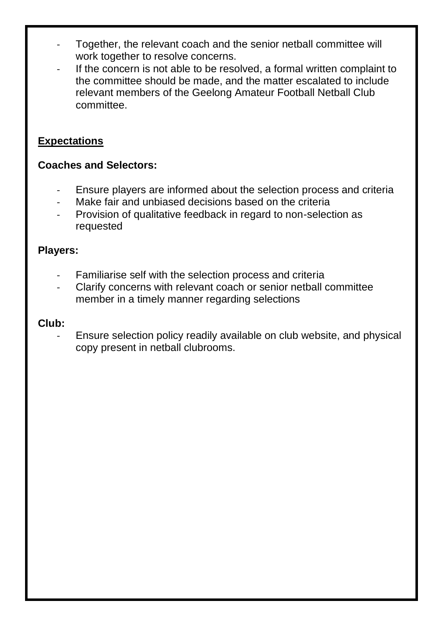- Together, the relevant coach and the senior netball committee will work together to resolve concerns.
- If the concern is not able to be resolved, a formal written complaint to the committee should be made, and the matter escalated to include relevant members of the Geelong Amateur Football Netball Club committee.

#### **Expectations**

#### **Coaches and Selectors:**

- Ensure players are informed about the selection process and criteria
- Make fair and unbiased decisions based on the criteria
- Provision of qualitative feedback in regard to non-selection as requested

#### **Players:**

- Familiarise self with the selection process and criteria
- Clarify concerns with relevant coach or senior netball committee member in a timely manner regarding selections

#### **Club:**

Ensure selection policy readily available on club website, and physical copy present in netball clubrooms.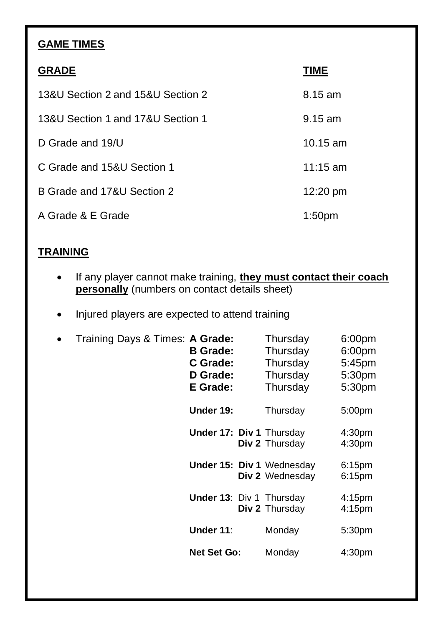# **GAME TIMES**

| <b>GRADE</b>                      | TIME               |
|-----------------------------------|--------------------|
| 13&U Section 2 and 15&U Section 2 | 8.15 am            |
| 13&U Section 1 and 17&U Section 1 | $9.15$ am          |
| D Grade and 19/U                  | $10.15$ am         |
| C Grade and 15&U Section 1        | $11:15$ am         |
| B Grade and 17&U Section 2        | 12:20 pm           |
| A Grade & E Grade                 | 1:50 <sub>pm</sub> |

## **TRAINING**

- If any player cannot make training, **they must contact their coach personally** (numbers on contact details sheet)
- Injured players are expected to attend training

| $\bullet$ | Training Days & Times: A Grade: | <b>B</b> Grade:<br>C Grade:<br>D Grade:<br>E Grade: | Thursday<br>Thursday<br>Thursday<br>Thursday<br>Thursday | 6:00pm<br>6:00 <sub>pm</sub><br>5:45pm<br>5:30pm<br>5:30pm |
|-----------|---------------------------------|-----------------------------------------------------|----------------------------------------------------------|------------------------------------------------------------|
|           |                                 | Under 19:                                           | Thursday                                                 | 5:00 <sub>pm</sub>                                         |
|           |                                 | <b>Under 17: Div 1 Thursday</b>                     | Div 2 Thursday                                           | 4:30 <sub>pm</sub><br>4:30 <sub>pm</sub>                   |
|           |                                 |                                                     | <b>Under 15: Div 1 Wednesday</b><br>Div 2 Wednesday      | 6:15 <sub>pm</sub><br>6:15pm                               |
|           |                                 | <b>Under 13: Div 1 Thursday</b>                     | Div 2 Thursday                                           | 4:15 <sub>pm</sub><br>4:15 <sub>pm</sub>                   |
|           |                                 | Under 11:                                           | Monday                                                   | 5:30 <sub>pm</sub>                                         |
|           |                                 | <b>Net Set Go:</b>                                  | Monday                                                   | 4:30 <sub>pm</sub>                                         |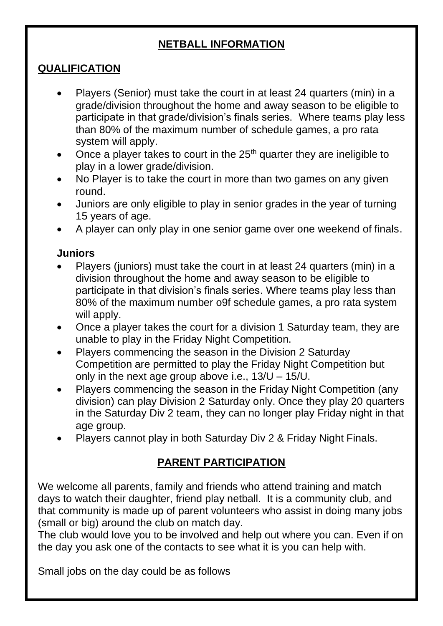#### **NETBALL INFORMATION**

## **QUALIFICATION**

- Players (Senior) must take the court in at least 24 quarters (min) in a grade/division throughout the home and away season to be eligible to participate in that grade/division's finals series.Where teams play less than 80% of the maximum number of schedule games, a pro rata system will apply.
- Once a player takes to court in the  $25<sup>th</sup>$  quarter they are ineligible to play in a lower grade/division.
- No Player is to take the court in more than two games on any given round.
- Juniors are only eligible to play in senior grades in the year of turning 15 years of age.
- A player can only play in one senior game over one weekend of finals.

#### **Juniors**

- Players (juniors) must take the court in at least 24 quarters (min) in a division throughout the home and away season to be eligible to participate in that division's finals series. Where teams play less than 80% of the maximum number o9f schedule games, a pro rata system will apply.
- Once a player takes the court for a division 1 Saturday team, they are unable to play in the Friday Night Competition.
- Players commencing the season in the Division 2 Saturday Competition are permitted to play the Friday Night Competition but only in the next age group above i.e., 13/U – 15/U.
- Players commencing the season in the Friday Night Competition (any division) can play Division 2 Saturday only. Once they play 20 quarters in the Saturday Div 2 team, they can no longer play Friday night in that age group.
- Players cannot play in both Saturday Div 2 & Friday Night Finals.

# **PARENT PARTICIPATION**

We welcome all parents, family and friends who attend training and match days to watch their daughter, friend play netball. It is a community club, and that community is made up of parent volunteers who assist in doing many jobs (small or big) around the club on match day.

The club would love you to be involved and help out where you can. Even if on the day you ask one of the contacts to see what it is you can help with.

Small jobs on the day could be as follows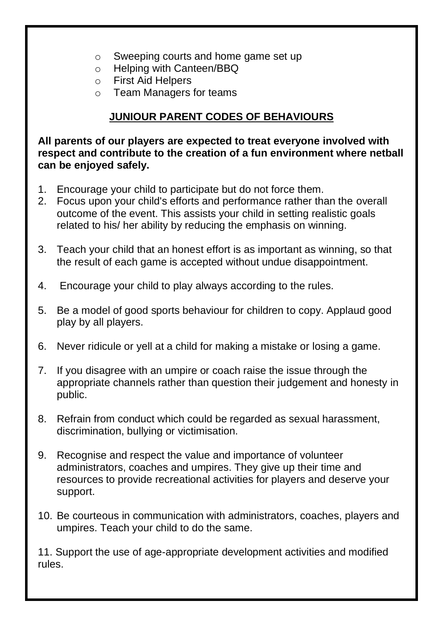- o Sweeping courts and home game set up
- o Helping with Canteen/BBQ
- o First Aid Helpers
- o Team Managers for teams

# **JUNIOUR PARENT CODES OF BEHAVIOURS**

**All parents of our players are expected to treat everyone involved with respect and contribute to the creation of a fun environment where netball can be enjoyed safely.**

- 1. Encourage your child to participate but do not force them.
- 2. Focus upon your child's efforts and performance rather than the overall outcome of the event. This assists your child in setting realistic goals related to his/ her ability by reducing the emphasis on winning.
- 3. Teach your child that an honest effort is as important as winning, so that the result of each game is accepted without undue disappointment.
- 4. Encourage your child to play always according to the rules.
- 5. Be a model of good sports behaviour for children to copy. Applaud good play by all players.
- 6. Never ridicule or yell at a child for making a mistake or losing a game.
- 7. If you disagree with an umpire or coach raise the issue through the appropriate channels rather than question their judgement and honesty in public.
- 8. Refrain from conduct which could be regarded as sexual harassment, discrimination, bullying or victimisation.
- 9. Recognise and respect the value and importance of volunteer administrators, coaches and umpires. They give up their time and resources to provide recreational activities for players and deserve your support.
- 10. Be courteous in communication with administrators, coaches, players and umpires. Teach your child to do the same.

11. Support the use of age-appropriate development activities and modified rules.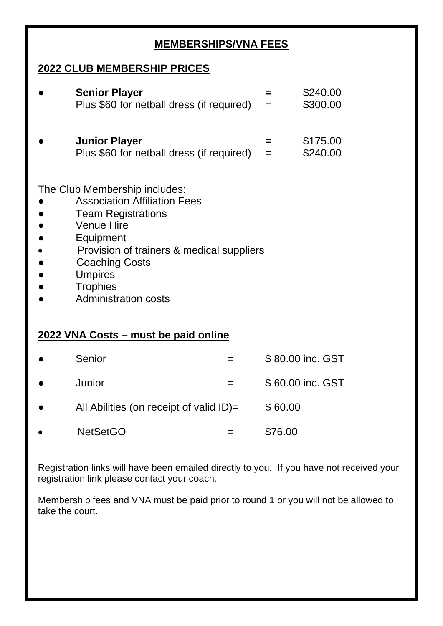#### **MEMBERSHIPS/VNA FEES**

## **2022 CLUB MEMBERSHIP PRICES**

| <b>Senior Player</b><br>Plus \$60 for netball dress (if required)                                                                                                                                                                                        | $=$      | \$240.00<br>\$300.00 |
|----------------------------------------------------------------------------------------------------------------------------------------------------------------------------------------------------------------------------------------------------------|----------|----------------------|
| <b>Junior Player</b><br>Plus \$60 for netball dress (if required)                                                                                                                                                                                        | =<br>$=$ | \$175.00<br>\$240.00 |
| The Club Membership includes:<br><b>Association Affiliation Fees</b><br><b>Team Registrations</b><br>Venue Hire<br>Equipment<br>Provision of trainers & medical suppliers<br>Coaching Costs<br>Umpires<br><b>Trophies</b><br><b>Administration costs</b> |          |                      |

# **2022 VNA Costs – must be paid online**

| $\bullet$ | Senior                                     | \$80.00 inc. GST |
|-----------|--------------------------------------------|------------------|
| $\bullet$ | Junior                                     | \$60.00 inc. GST |
| $\bullet$ | All Abilities (on receipt of valid $ID$ )= | \$60.00          |
| $\bullet$ | <b>NetSetGO</b>                            | \$76.00          |

Registration links will have been emailed directly to you. If you have not received your registration link please contact your coach.

Membership fees and VNA must be paid prior to round 1 or you will not be allowed to take the court.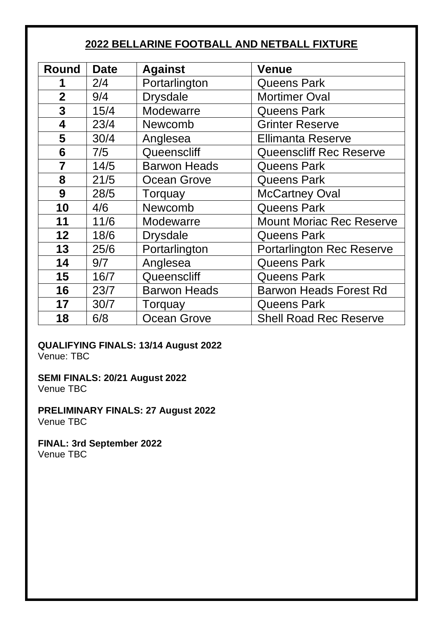## **BELLARINE FOOTBALL AND NETBALL FIXTURE**

| Round          | <b>Date</b> | <b>Against</b>      | Venue                           |
|----------------|-------------|---------------------|---------------------------------|
|                | 2/4         | Portarlington       | Queens Park                     |
| $\mathbf 2$    | 9/4         | <b>Drysdale</b>     | <b>Mortimer Oval</b>            |
| 3              | 15/4        | Modewarre           | Queens Park                     |
| 4              | 23/4        | Newcomb             | <b>Grinter Reserve</b>          |
| 5              | 30/4        | Anglesea            | <b>Ellimanta Reserve</b>        |
| 6              | 7/5         | Queenscliff         | <b>Queenscliff Rec Reserve</b>  |
| $\overline{7}$ | 14/5        | <b>Barwon Heads</b> | Queens Park                     |
| 8              | 21/5        | Ocean Grove         | Queens Park                     |
| 9              | 28/5        | Torquay             | <b>McCartney Oval</b>           |
| 10             | 4/6         | Newcomb             | <b>Queens Park</b>              |
| 11             | 11/6        | Modewarre           | <b>Mount Moriac Rec Reserve</b> |
| 12             | 18/6        | Drysdale            | Queens Park                     |
| 13             | 25/6        | Portarlington       | Portarlington Rec Reserve       |
| 14             | 9/7         | Anglesea            | <b>Queens Park</b>              |
| 15             | 16/7        | Queenscliff         | Queens Park                     |
| 16             | 23/7        | <b>Barwon Heads</b> | Barwon Heads Forest Rd          |
| 17             | 30/7        | Torquay             | Queens Park                     |
| 18             | 6/8         | Ocean Grove         | <b>Shell Road Rec Reserve</b>   |

# **QUALIFYING FINALS: 13/14 August 2022**

Venue: TBC

**SEMI FINALS: 20/21 August 2022** Venue TBC

**PRELIMINARY FINALS: 27 August 2022** Venue TBC

**FINAL: 3rd September 2022** Venue TBC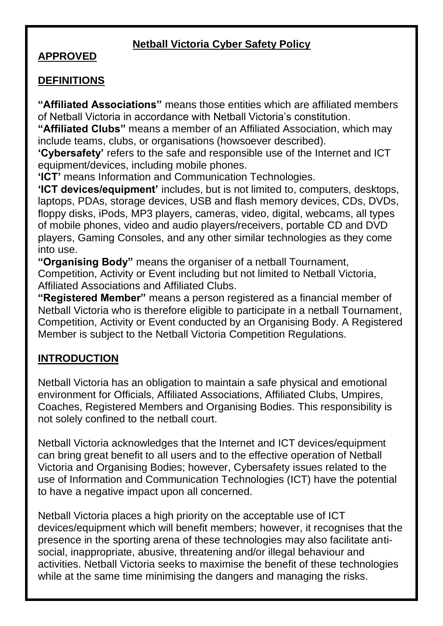## **Netball Victoria Cyber Safety Policy**

#### **APPROVED**

#### **DEFINITIONS**

**"Affiliated Associations"** means those entities which are affiliated members of Netball Victoria in accordance with Netball Victoria's constitution.

**"Affiliated Clubs"** means a member of an Affiliated Association, which may include teams, clubs, or organisations (howsoever described).

**'Cybersafety'** refers to the safe and responsible use of the Internet and ICT equipment/devices, including mobile phones.

**'ICT'** means Information and Communication Technologies.

**'ICT devices/equipment'** includes, but is not limited to, computers, desktops, laptops, PDAs, storage devices, USB and flash memory devices, CDs, DVDs, floppy disks, iPods, MP3 players, cameras, video, digital, webcams, all types of mobile phones, video and audio players/receivers, portable CD and DVD players, Gaming Consoles, and any other similar technologies as they come into use.

**"Organising Body"** means the organiser of a netball Tournament, Competition, Activity or Event including but not limited to Netball Victoria, Affiliated Associations and Affiliated Clubs.

**"Registered Member"** means a person registered as a financial member of Netball Victoria who is therefore eligible to participate in a netball Tournament, Competition, Activity or Event conducted by an Organising Body. A Registered Member is subject to the Netball Victoria Competition Regulations.

# **INTRODUCTION**

Netball Victoria has an obligation to maintain a safe physical and emotional environment for Officials, Affiliated Associations, Affiliated Clubs, Umpires, Coaches, Registered Members and Organising Bodies. This responsibility is not solely confined to the netball court.

Netball Victoria acknowledges that the Internet and ICT devices/equipment can bring great benefit to all users and to the effective operation of Netball Victoria and Organising Bodies; however, Cybersafety issues related to the use of Information and Communication Technologies (ICT) have the potential to have a negative impact upon all concerned.

Netball Victoria places a high priority on the acceptable use of ICT devices/equipment which will benefit members; however, it recognises that the presence in the sporting arena of these technologies may also facilitate antisocial, inappropriate, abusive, threatening and/or illegal behaviour and activities. Netball Victoria seeks to maximise the benefit of these technologies while at the same time minimising the dangers and managing the risks.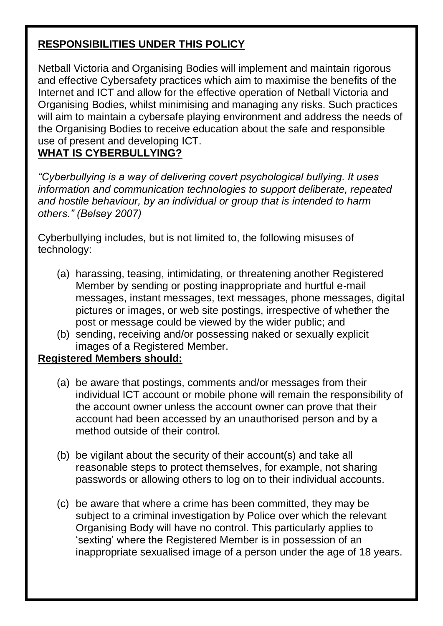# **RESPONSIBILITIES UNDER THIS POLICY**

Netball Victoria and Organising Bodies will implement and maintain rigorous and effective Cybersafety practices which aim to maximise the benefits of the Internet and ICT and allow for the effective operation of Netball Victoria and Organising Bodies, whilst minimising and managing any risks. Such practices will aim to maintain a cybersafe playing environment and address the needs of the Organising Bodies to receive education about the safe and responsible use of present and developing ICT.

#### **WHAT IS CYBERBULLYING?**

*"Cyberbullying is a way of delivering covert psychological bullying. It uses information and communication technologies to support deliberate, repeated and hostile behaviour, by an individual or group that is intended to harm others." (Belsey 2007)* 

Cyberbullying includes, but is not limited to, the following misuses of technology:

- (a) harassing, teasing, intimidating, or threatening another Registered Member by sending or posting inappropriate and hurtful e-mail messages, instant messages, text messages, phone messages, digital pictures or images, or web site postings, irrespective of whether the post or message could be viewed by the wider public; and
- (b) sending, receiving and/or possessing naked or sexually explicit images of a Registered Member.

#### **Registered Members should:**

- (a) be aware that postings, comments and/or messages from their individual ICT account or mobile phone will remain the responsibility of the account owner unless the account owner can prove that their account had been accessed by an unauthorised person and by a method outside of their control.
- (b) be vigilant about the security of their account(s) and take all reasonable steps to protect themselves, for example, not sharing passwords or allowing others to log on to their individual accounts.
- (c) be aware that where a crime has been committed, they may be subject to a criminal investigation by Police over which the relevant Organising Body will have no control. This particularly applies to 'sexting' where the Registered Member is in possession of an inappropriate sexualised image of a person under the age of 18 years.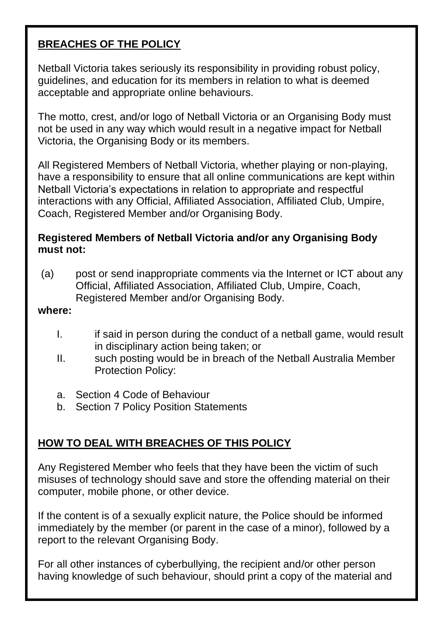## **BREACHES OF THE POLICY**

Netball Victoria takes seriously its responsibility in providing robust policy, guidelines, and education for its members in relation to what is deemed acceptable and appropriate online behaviours.

The motto, crest, and/or logo of Netball Victoria or an Organising Body must not be used in any way which would result in a negative impact for Netball Victoria, the Organising Body or its members.

All Registered Members of Netball Victoria, whether playing or non-playing, have a responsibility to ensure that all online communications are kept within Netball Victoria's expectations in relation to appropriate and respectful interactions with any Official, Affiliated Association, Affiliated Club, Umpire, Coach, Registered Member and/or Organising Body.

#### **Registered Members of Netball Victoria and/or any Organising Body must not:**

(a) post or send inappropriate comments via the Internet or ICT about any Official, Affiliated Association, Affiliated Club, Umpire, Coach, Registered Member and/or Organising Body.

#### **where:**

- I. if said in person during the conduct of a netball game, would result in disciplinary action being taken; or
- II. such posting would be in breach of the Netball Australia Member Protection Policy:
- a. Section 4 Code of Behaviour
- b. Section 7 Policy Position Statements

#### **HOW TO DEAL WITH BREACHES OF THIS POLICY**

Any Registered Member who feels that they have been the victim of such misuses of technology should save and store the offending material on their computer, mobile phone, or other device.

If the content is of a sexually explicit nature, the Police should be informed immediately by the member (or parent in the case of a minor), followed by a report to the relevant Organising Body.

For all other instances of cyberbullying, the recipient and/or other person having knowledge of such behaviour, should print a copy of the material and